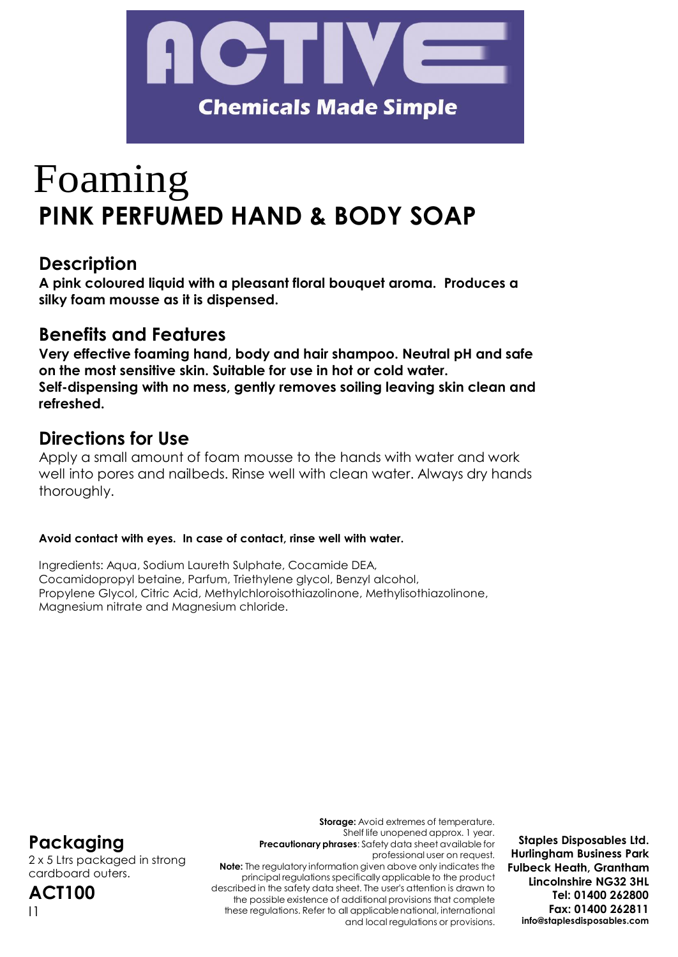

# Foaming **PINK PERFUMED HAND & BODY SOAP**

# **Description**

**A pink coloured liquid with a pleasant floral bouquet aroma. Produces a silky foam mousse as it is dispensed.**

# **Benefits and Features**

**Very effective foaming hand, body and hair shampoo. Neutral pH and safe on the most sensitive skin. Suitable for use in hot or cold water. Self-dispensing with no mess, gently removes soiling leaving skin clean and refreshed.**

# **Directions for Use**

Apply a small amount of foam mousse to the hands with water and work well into pores and nailbeds. Rinse well with clean water. Always dry hands thoroughly.

# **Avoid contact with eyes. In case of contact, rinse well with water.**

Ingredients: Aqua, Sodium Laureth Sulphate, Cocamide DEA, Cocamidopropyl betaine, Parfum, Triethylene glycol, Benzyl alcohol, Propylene Glycol, Citric Acid, Methylchloroisothiazolinone, Methylisothiazolinone, Magnesium nitrate and Magnesium chloride.

# **Packaging**

2 x 5 Ltrs packaged in strong cardboard outers.

**ACT100** I1

**Storage:** Avoid extremes of temperature. Shelf life unopened approx. 1 year. **Precautionary phrases**: Safety data sheet available for professional user on request. **Note:** The regulatory information given above only indicates the principal regulations specifically applicable to the product described in the safety data sheet. The user's attention is drawn to the possible existence of additional provisions that complete these regulations. Refer to all applicablenational, international and local regulations or provisions.

**Staples Disposables Ltd. Hurlingham Business Park Fulbeck Heath, Grantham Lincolnshire NG32 3HL Tel: 01400 262800 Fax: 01400 262811 [info@staplesdisposables.com](mailto:info@staplesdisposables.com)**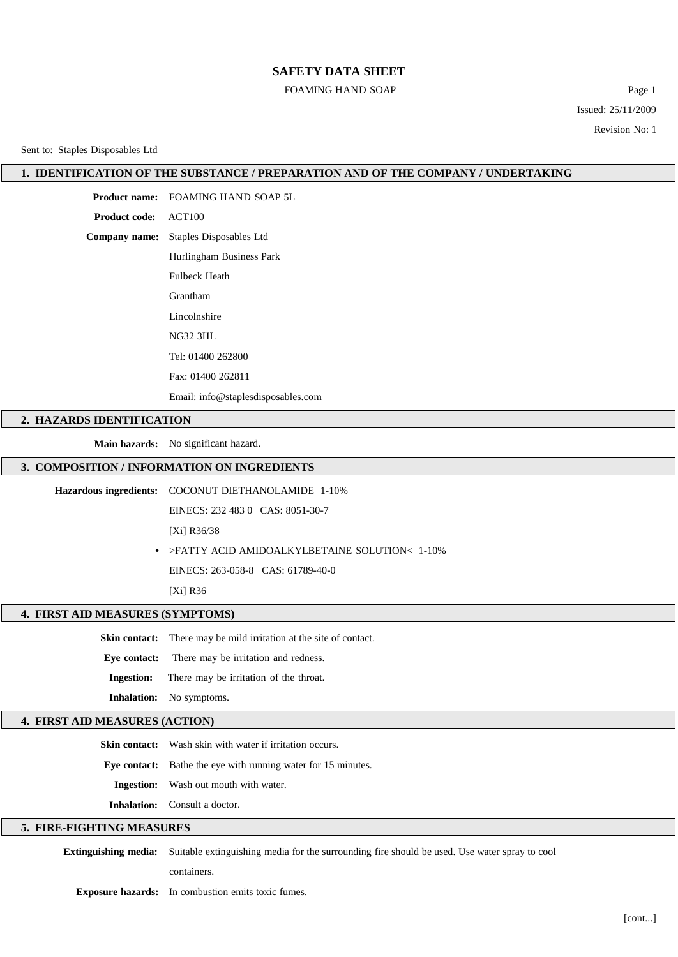# **SAFETY DATA SHEET**

#### FOAMING HAND SOAP

Page 1 Issued: 25/11/2009 Revision No: 1

Sent to: Staples Disposables Ltd

## **1. IDENTIFICATION OF THE SUBSTANCE / PREPARATION AND OF THE COMPANY / UNDERTAKING**

**Product name:** FOAMING HAND SOAP 5L **Product code:** ACT100 **Company name:** Staples Disposables Ltd Hurlingham Business Park Fulbeck Heath Grantham Lincolnshire NG32 3HL Tel: 01400 262800

Fax: 01400 262811

Email: [info@staplesdisposables.com](mailto:info@staplesdisposables.com)

## **2. HAZARDS IDENTIFICATION**

**Main hazards:** No significant hazard.

# **3. COMPOSITION / INFORMATION ON INGREDIENTS**

**Hazardous ingredients:** COCONUT DIETHANOLAMIDE 1-10%

EINECS: 232 483 0 CAS: 8051-30-7

[Xi] R36/38

**•** >FATTY ACID AMIDOALKYLBETAINE SOLUTION< 1-10%

EINECS: 263-058-8 CAS: 61789-40-0

[Xi] R36

#### **4. FIRST AID MEASURES (SYMPTOMS)**

**Skin contact:** There may be mild irritation at the site of contact.

**Eye contact:** There may be irritation and redness.

**Ingestion:** There may be irritation of the throat.

**Inhalation:** No symptoms.

# **4. FIRST AID MEASURES (ACTION)**

**Skin contact:** Wash skin with water if irritation occurs.

**Eye contact:** Bathe the eye with running water for 15 minutes.

**Ingestion:** Wash out mouth with water.

**Inhalation:** Consult a doctor.

## **5. FIRE-FIGHTING MEASURES**

**Extinguishing media:** Suitable extinguishing media for the surrounding fire should be used. Use water spray to cool

containers.

**Exposure hazards:** In combustion emits toxic fumes.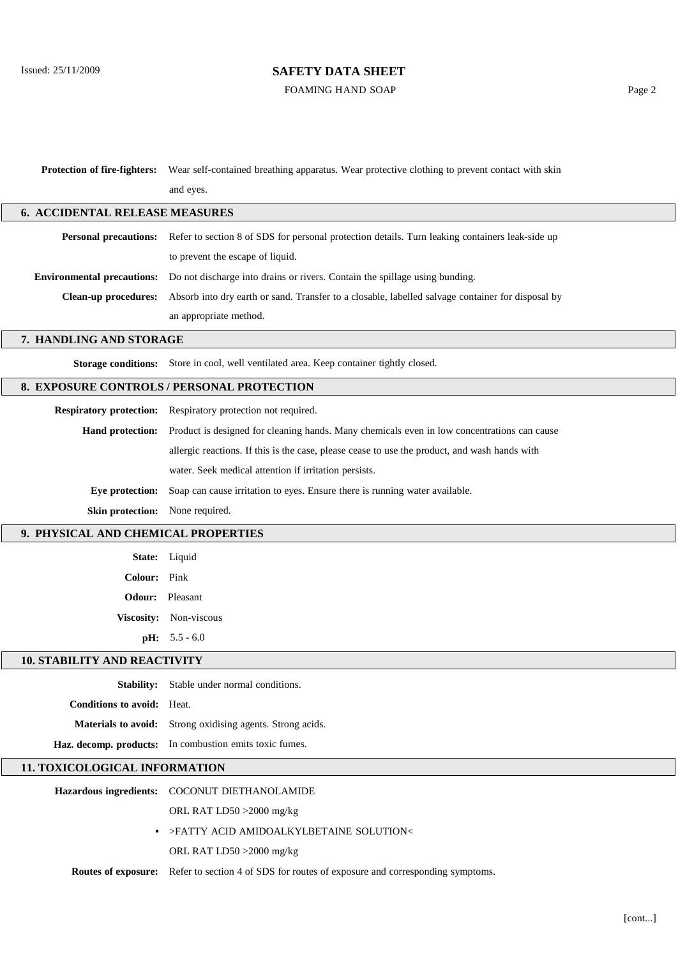# Issued: 25/11/2009 **SAFETY DATA SHEET**

FOAMING HAND SOAP

| Protection of fire-fighters:               | Wear self-contained breathing apparatus. Wear protective clothing to prevent contact with skin    |  |
|--------------------------------------------|---------------------------------------------------------------------------------------------------|--|
|                                            | and eyes.                                                                                         |  |
| <b>6. ACCIDENTAL RELEASE MEASURES</b>      |                                                                                                   |  |
| <b>Personal precautions:</b>               | Refer to section 8 of SDS for personal protection details. Turn leaking containers leak-side up   |  |
|                                            | to prevent the escape of liquid.                                                                  |  |
| <b>Environmental precautions:</b>          | Do not discharge into drains or rivers. Contain the spillage using bunding.                       |  |
| <b>Clean-up procedures:</b>                | Absorb into dry earth or sand. Transfer to a closable, labelled salvage container for disposal by |  |
|                                            | an appropriate method.                                                                            |  |
| 7. HANDLING AND STORAGE                    |                                                                                                   |  |
|                                            | Storage conditions: Store in cool, well ventilated area. Keep container tightly closed.           |  |
| 8. EXPOSURE CONTROLS / PERSONAL PROTECTION |                                                                                                   |  |
|                                            | Respiratory protection: Respiratory protection not required.                                      |  |
| Hand protection:                           | Product is designed for cleaning hands. Many chemicals even in low concentrations can cause       |  |
|                                            | allergic reactions. If this is the case, please cease to use the product, and wash hands with     |  |
|                                            | water. Seek medical attention if irritation persists.                                             |  |
| Eye protection:                            | Soap can cause irritation to eyes. Ensure there is running water available.                       |  |
| Skin protection:                           | None required.                                                                                    |  |
| 9. PHYSICAL AND CHEMICAL PROPERTIES        |                                                                                                   |  |
| State:                                     | Liquid                                                                                            |  |
| <b>Colour:</b>                             | Pink                                                                                              |  |
|                                            | <b>Odour:</b> Pleasant                                                                            |  |
|                                            | Viscosity: Non-viscous                                                                            |  |
|                                            | $pH: 5.5 - 6.0$                                                                                   |  |
| <b>10. STABILITY AND REACTIVITY</b>        |                                                                                                   |  |
|                                            | Stability: Stable under normal conditions.                                                        |  |
| <b>Conditions to avoid:</b> Heat.          |                                                                                                   |  |
|                                            | Materials to avoid: Strong oxidising agents. Strong acids.                                        |  |
|                                            | Haz. decomp. products: In combustion emits toxic fumes.                                           |  |
| 11. TOXICOLOGICAL INFORMATION              |                                                                                                   |  |
| <b>Hazardous ingredients:</b>              | COCONUT DIETHANOLAMIDE                                                                            |  |
|                                            | ORL RAT LD50 >2000 mg/kg                                                                          |  |
|                                            | >FATTY ACID AMIDOALKYLBETAINE SOLUTION<                                                           |  |
|                                            | ORL RAT LD50 >2000 mg/kg                                                                          |  |
| Routes of exposure:                        | Refer to section 4 of SDS for routes of exposure and corresponding symptoms.                      |  |